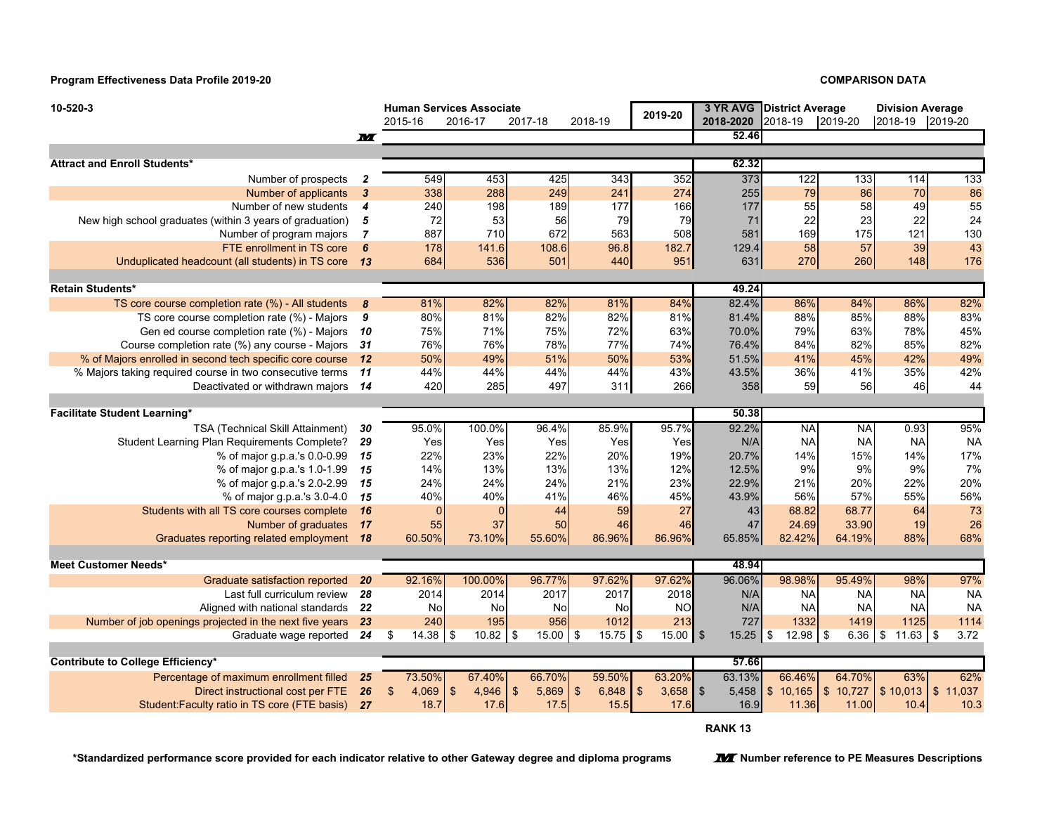**Program Effectiveness Data Profile 2019-20**

## **COMPARISON DATA**

| 10-520-3                                                 |                         | <b>Human Services Associate</b><br>2015-16<br>2016-17<br>2018-19<br>2017-18 |             |                         | 2019-20                 | 2018-2020        | 3 YR AVG District Average<br>2018-19<br>2019-20 |           | <b>Division Average</b><br>2018-19<br>2019-20 |           |                        |
|----------------------------------------------------------|-------------------------|-----------------------------------------------------------------------------|-------------|-------------------------|-------------------------|------------------|-------------------------------------------------|-----------|-----------------------------------------------|-----------|------------------------|
|                                                          | M                       |                                                                             |             |                         |                         |                  | 52.46                                           |           |                                               |           |                        |
|                                                          |                         |                                                                             |             |                         |                         |                  |                                                 |           |                                               |           |                        |
| <b>Attract and Enroll Students*</b>                      |                         |                                                                             |             |                         |                         |                  | 62.32                                           |           |                                               |           |                        |
| Number of prospects                                      | $\overline{2}$          | 549                                                                         | 453         | 425                     | 343                     | 352              | 373                                             | 122       | 133                                           | 114       | 133                    |
| Number of applicants                                     | $\overline{\mathbf{3}}$ | 338                                                                         | 288         | 249                     | 241                     | 274              | 255                                             | 79        | 86                                            | 70        | 86                     |
| Number of new students                                   | $\boldsymbol{4}$        | 240                                                                         | 198         | 189                     | 177                     | 166              | 177                                             | 55        | 58                                            | 49        | 55                     |
| New high school graduates (within 3 years of graduation) | 5                       | 72                                                                          | 53          | 56                      | 79                      | 79               | 71                                              | 22        | 23                                            | 22        | 24                     |
| Number of program majors                                 | $\overline{7}$          | 887                                                                         | 710         | 672                     | 563                     | 508              | 581                                             | 169       | 175                                           | 121       | 130                    |
| FTE enrollment in TS core                                | 6                       | 178                                                                         | 141.6       | 108.6                   | 96.8                    | 182.7            | 129.4                                           | 58        | 57                                            | 39        | 43                     |
| Unduplicated headcount (all students) in TS core         | 13                      | 684                                                                         | 536         | 501                     | 440                     | 951              | 631                                             | 270       | 260                                           | 148       | 176                    |
|                                                          |                         |                                                                             |             |                         |                         |                  |                                                 |           |                                               |           |                        |
| <b>Retain Students*</b>                                  |                         |                                                                             |             |                         |                         |                  | 49.24                                           |           |                                               |           |                        |
| TS core course completion rate (%) - All students        | 8                       | 81%                                                                         | 82%         | 82%                     | 81%                     | 84%              | 82.4%                                           | 86%       | 84%                                           | 86%       | 82%                    |
| TS core course completion rate (%) - Majors              | 9                       | 80%                                                                         | 81%         | 82%                     | 82%                     | 81%              | 81.4%                                           | 88%       | 85%                                           | 88%       | 83%                    |
| Gen ed course completion rate (%) - Majors               | - 10                    | 75%                                                                         | 71%         | 75%                     | 72%                     | 63%              | 70.0%                                           | 79%       | 63%                                           | 78%       | 45%                    |
| Course completion rate (%) any course - Majors           | - 31                    | 76%                                                                         | 76%         | 78%                     | 77%                     | 74%              | 76.4%                                           | 84%       | 82%                                           | 85%       | 82%                    |
| % of Majors enrolled in second tech specific core course | 12                      | 50%                                                                         | 49%         | 51%                     | 50%                     | 53%              | 51.5%                                           | 41%       | 45%                                           | 42%       | 49%                    |
| % Majors taking required course in two consecutive terms | 11                      | 44%                                                                         | 44%         | 44%<br>497              | 44%<br>311              | 43%              | 43.5%                                           | 36%<br>59 | 41%<br>56                                     | 35%<br>46 | 42%<br>44              |
| Deactivated or withdrawn majors 14                       |                         | 420                                                                         | 285         |                         |                         | 266              | 358                                             |           |                                               |           |                        |
| <b>Facilitate Student Learning*</b>                      |                         |                                                                             |             |                         |                         |                  | 50.38                                           |           |                                               |           |                        |
| TSA (Technical Skill Attainment)                         | 30                      | 95.0%                                                                       | 100.0%      | 96.4%                   | 85.9%                   | 95.7%            | 92.2%                                           | <b>NA</b> | <b>NA</b>                                     | 0.93      | 95%                    |
| Student Learning Plan Requirements Complete?             | 29                      | Yes                                                                         | Yes         | Yes                     | Yes                     | Yes              | N/A                                             | <b>NA</b> | <b>NA</b>                                     | <b>NA</b> | <b>NA</b>              |
| % of major g.p.a.'s 0.0-0.99                             | 15                      | 22%                                                                         | 23%         | 22%                     | 20%                     | 19%              | 20.7%                                           | 14%       | 15%                                           | 14%       | 17%                    |
| % of major g.p.a.'s 1.0-1.99                             | 15                      | 14%                                                                         | 13%         | 13%                     | 13%                     | 12%              | 12.5%                                           | 9%        | 9%                                            | 9%        | 7%                     |
| % of major g.p.a.'s 2.0-2.99                             | 15                      | 24%                                                                         | 24%         | 24%                     | 21%                     | 23%              | 22.9%                                           | 21%       | 20%                                           | 22%       | 20%                    |
| % of major g.p.a.'s 3.0-4.0                              | 15                      | 40%                                                                         | 40%         | 41%                     | 46%                     | 45%              | 43.9%                                           | 56%       | 57%                                           | 55%       | 56%                    |
| Students with all TS core courses complete               | <b>16</b>               | $\Omega$                                                                    | $\Omega$    | 44                      | 59                      | 27               | 43                                              | 68.82     | 68.77                                         | 64        | 73                     |
| Number of graduates                                      | 17                      | 55                                                                          | 37          | 50                      | 46                      | 46               | 47                                              | 24.69     | 33.90                                         | 19        | 26                     |
| Graduates reporting related employment 18                |                         | 60.50%                                                                      | 73.10%      | 55.60%                  | 86.96%                  | 86.96%           | 65.85%                                          | 82.42%    | 64.19%                                        | 88%       | 68%                    |
|                                                          |                         |                                                                             |             |                         |                         |                  |                                                 |           |                                               |           |                        |
| <b>Meet Customer Needs*</b>                              |                         |                                                                             |             |                         |                         |                  | 48.94                                           |           |                                               |           |                        |
| Graduate satisfaction reported                           | 20                      | 92.16%                                                                      | 100.00%     | 96.77%                  | 97.62%                  | 97.62%           | 96.06%                                          | 98.98%    | 95.49%                                        | 98%       | 97%                    |
| Last full curriculum review                              | 28                      | 2014                                                                        | 2014        | 2017                    | 2017                    | 2018             | N/A                                             | <b>NA</b> | <b>NA</b>                                     | <b>NA</b> | <b>NA</b>              |
| Aligned with national standards                          | 22                      | No                                                                          | No          | No                      | No                      | <b>NO</b>        | N/A                                             | <b>NA</b> | <b>NA</b>                                     | <b>NA</b> | <b>NA</b>              |
| Number of job openings projected in the next five years  | 23                      | 240                                                                         | 195         | 956                     | 1012                    | 213              | 727                                             | 1332      | 1419                                          | 1125      | 1114                   |
| Graduate wage reported                                   | 24                      | 14.38<br>\$                                                                 | 10.82<br>\$ | $15.00$ \$<br>\$        | $15.75$ \\$             | $15.00$ \$       | $15.25$ \$                                      | 12.98     | $6.36$ \$<br>\$                               |           | 3.72                   |
| Contribute to College Efficiency*                        |                         |                                                                             |             |                         |                         |                  | 57.66                                           |           |                                               |           |                        |
| Percentage of maximum enrollment filled                  | 25                      | 73.50%                                                                      | 67.40%      | 66.70%                  | 59.50%                  | 63.20%           | 63.13%                                          | 66.46%    | 64.70%                                        | 63%       | 62%                    |
| Direct instructional cost per FTE                        | 26                      | \$<br>4,069                                                                 | \$<br>4.946 | 5,869<br>$\mathfrak{L}$ | $\mathfrak{S}$<br>6,848 | $3,658$ \$<br>\$ | 5,458                                           | \$10.165  | $\mathfrak{S}$<br>10.727                      | \$10,013  | $\mathbb{S}$<br>11,037 |
| Student: Faculty ratio in TS core (FTE basis)            | <b>27</b>               | 18.7                                                                        | 17.6        | 17.5                    | 15.5                    | 17.6             | 16.9                                            | 11.36     | 11.00                                         | 10.4      | 10.3                   |
|                                                          |                         |                                                                             |             |                         |                         |                  |                                                 |           |                                               |           |                        |

**RANK 13**

**\*Standardized performance score provided for each indicator relative to other Gateway degree and diploma programs**

**M** Number reference to PE Measures Descriptions